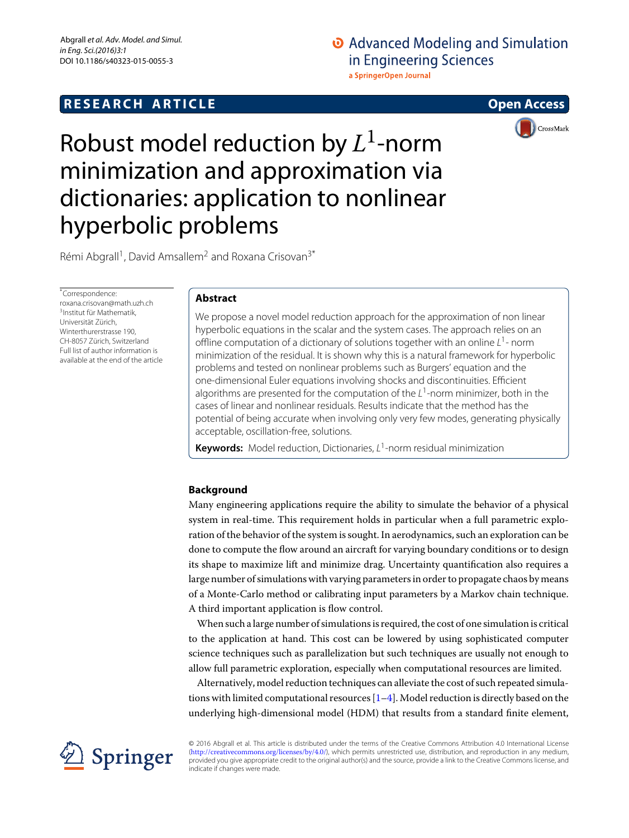# **RESEARCH ARTICLE Open Access**

# O Advanced Modeling and Simulation in Engineering Sciences a SpringerOpen Journal



# Robust model reduction by *L*1-norm minimization and approximation via dictionaries: application to nonlinear hyperbolic problems

Rémi Abgrall<sup>1</sup>, David Amsallem<sup>2</sup> and Roxana Crisovan<sup>3\*</sup>

\*Correspondence: roxana.crisovan@math.uzh.ch 3Institut für Mathematik, Universität Zürich, Winterthurerstrasse 190, CH-8057 Zürich, Switzerland Full list of author information is available at the end of the article

# **Abstract**

We propose a novel model reduction approach for the approximation of non linear hyperbolic equations in the scalar and the system cases. The approach relies on an offline computation of a dictionary of solutions together with an online *L*1- norm minimization of the residual. It is shown why this is a natural framework for hyperbolic problems and tested on nonlinear problems such as Burgers' equation and the one-dimensional Euler equations involving shocks and discontinuities. Efficient algorithms are presented for the computation of the *L*1-norm minimizer, both in the cases of linear and nonlinear residuals. Results indicate that the method has the potential of being accurate when involving only very few modes, generating physically acceptable, oscillation-free, solutions.

**Keywords:** Model reduction, Dictionaries, *L*1-norm residual minimization

# **Background**

Many engineering applications require the ability to simulate the behavior of a physical system in real-time. This requirement holds in particular when a full parametric exploration of the behavior of the system is sought. In aerodynamics, such an exploration can be done to compute the flow around an aircraft for varying boundary conditions or to design its shape to maximize lift and minimize drag. Uncertainty quantification also requires a large number of simulations with varying parameters in order to propagate chaos by means of a Monte-Carlo method or calibrating input parameters by a Markov chain technique. A third important application is flow control.

When such a large number of simulations is required, the cost of one simulation is critical to the application at hand. This cost can be lowered by using sophisticated computer science techniques such as parallelization but such techniques are usually not enough to allow full parametric exploration, especially when computational resources are limited.

Alternatively, model reduction techniques can alleviate the cost of such repeated simulations with limited computational resources  $[1-4]$  $[1-4]$ . Model reduction is directly based on the underlying high-dimensional model (HDM) that results from a standard finite element,



© 2016 Abgrall et al. This article is distributed under the terms of the Creative Commons Attribution 4.0 International License (<http://creativecommons.org/licenses/by/4.0/>), which permits unrestricted use, distribution, and reproduction in any medium, provided you give appropriate credit to the original author(s) and the source, provide a link to the Creative Commons license, and indicate if changes were made.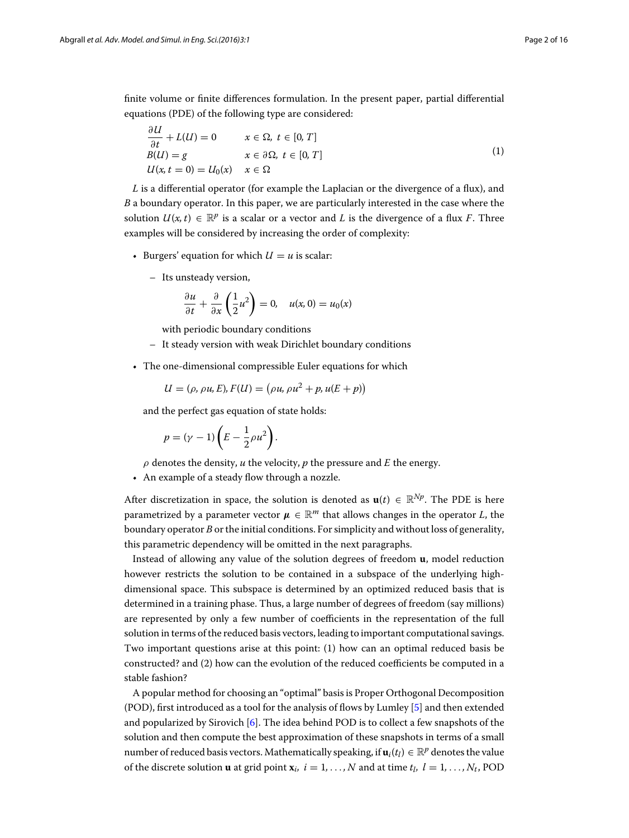finite volume or finite differences formulation. In the present paper, partial differential equations (PDE) of the following type are considered:

$$
\frac{\partial U}{\partial t} + L(U) = 0 \qquad x \in \Omega, \ t \in [0, T]
$$
  
\n
$$
B(U) = g \qquad x \in \partial \Omega, \ t \in [0, T]
$$
  
\n
$$
U(x, t = 0) = U_0(x) \qquad x \in \Omega
$$
\n(1)

<span id="page-1-0"></span>*L* is a differential operator (for example the Laplacian or the divergence of a flux), and *B* a boundary operator. In this paper, we are particularly interested in the case where the solution  $U(x, t) \in \mathbb{R}^p$  is a scalar or a vector and *L* is the divergence of a flux *F*. Three examples will be considered by increasing the order of complexity:

- Burgers' equation for which  $U = u$  is scalar:
	- Its unsteady version,

$$
\frac{\partial u}{\partial t} + \frac{\partial}{\partial x} \left( \frac{1}{2} u^2 \right) = 0, \quad u(x, 0) = u_0(x)
$$

with periodic boundary conditions

- It steady version with weak Dirichlet boundary conditions
- The one-dimensional compressible Euler equations for which

$$
U = (\rho, \rho u, E), F(U) = (\rho u, \rho u^2 + p, u(E + p))
$$

and the perfect gas equation of state holds:

$$
p = (\gamma - 1)\left(E - \frac{1}{2}\rho u^2\right).
$$

 $\rho$  denotes the density,  $u$  the velocity,  $p$  the pressure and  $E$  the energy.

• An example of a steady flow through a nozzle.

After discretization in space, the solution is denoted as  $\mathbf{u}(t) \in \mathbb{R}^{Np}$ . The PDE is here parametrized by a parameter vector  $\mu \in \mathbb{R}^m$  that allows changes in the operator *L*, the boundary operator *B* or the initial conditions. For simplicity and without loss of generality, this parametric dependency will be omitted in the next paragraphs.

Instead of allowing any value of the solution degrees of freedom **u**, model reduction however restricts the solution to be contained in a subspace of the underlying highdimensional space. This subspace is determined by an optimized reduced basis that is determined in a training phase. Thus, a large number of degrees of freedom (say millions) are represented by only a few number of coefficients in the representation of the full solution in terms of the reduced basis vectors, leading to important computational savings. Two important questions arise at this point: (1) how can an optimal reduced basis be constructed? and (2) how can the evolution of the reduced coefficients be computed in a stable fashion?

A popular method for choosing an "optimal" basis is Proper Orthogonal Decomposition (POD), first introduced as a tool for the analysis of flows by Lumley [\[5](#page-15-2)] and then extended and popularized by Sirovich [\[6\]](#page-15-3). The idea behind POD is to collect a few snapshots of the solution and then compute the best approximation of these snapshots in terms of a small number of reduced basis vectors. Mathematically speaking, if  $\mathbf{u}_i(t_l) \in \mathbb{R}^p$  denotes the value of the discrete solution **u** at grid point  $\mathbf{x}_i$ ,  $i = 1, \ldots, N$  and at time  $t_i$ ,  $l = 1, \ldots, N_t$ , POD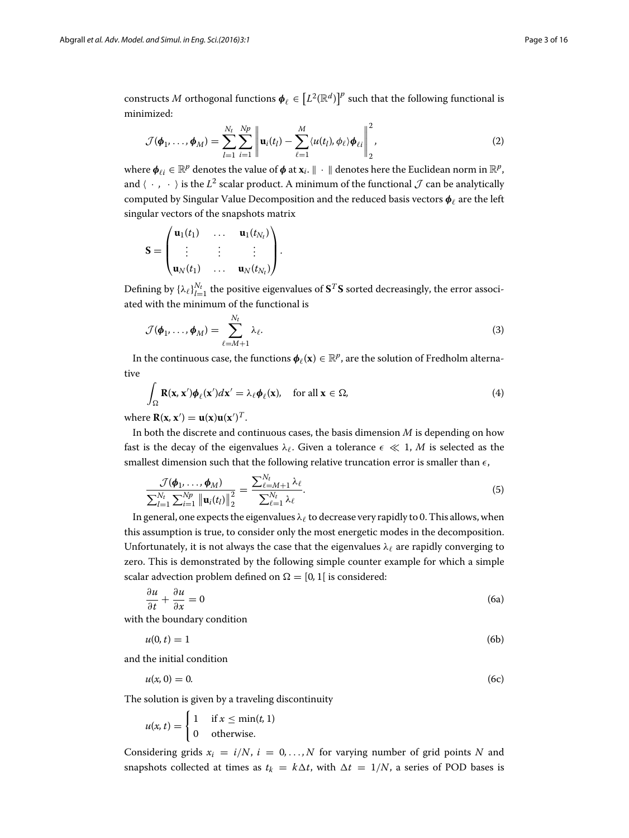constructs  $M$  orthogonal functions  $\pmb{\phi}_\ell \in \left[L^2(\mathbb{R}^d)\right]^p$  such that the following functional is minimized:

$$
\mathcal{J}(\boldsymbol{\phi}_1,\ldots,\boldsymbol{\phi}_M)=\sum_{l=1}^{N_t}\sum_{i=1}^{N_p}\left\|\mathbf{u}_i(t_l)-\sum_{\ell=1}^M\langle u(t_l),\phi_\ell\rangle\boldsymbol{\phi}_{\ell i}\right\|_2^2,
$$
\n(2)

where  $\phi_{\ell i} \in \mathbb{R}^p$  denotes the value of  $\phi$  at  $\mathbf{x}_i$ .  $\|\cdot\|$  denotes here the Euclidean norm in  $\mathbb{R}^p$ , and  $\langle \cdot, \cdot \rangle$  is the  $L^2$  scalar product. A minimum of the functional  $\mathcal J$  can be analytically computed by Singular Value Decomposition and the reduced basis vectors  $\phi_{\ell}$  are the left singular vectors of the snapshots matrix

$$
\mathbf{S} = \begin{pmatrix} \mathbf{u}_1(t_1) & \dots & \mathbf{u}_1(t_{N_t}) \\ \vdots & \vdots & \vdots \\ \mathbf{u}_N(t_1) & \dots & \mathbf{u}_N(t_{N_t}) \end{pmatrix}.
$$

Defining by  $\{\lambda_\ell\}_{l=1}^{N_t}$  the positive eigenvalues of  $S^T S$  sorted decreasingly, the error associated with the minimum of the functional is

$$
\mathcal{J}(\boldsymbol{\phi}_1, \dots, \boldsymbol{\phi}_M) = \sum_{\ell=M+1}^{N_t} \lambda_\ell.
$$
\n(3)

In the continuous case, the functions  $\phi_{\ell}(\mathbf{x}) \in \mathbb{R}^p$ , are the solution of Fredholm alternative

$$
\int_{\Omega} \mathbf{R}(\mathbf{x}, \mathbf{x}') \boldsymbol{\phi}_{\ell}(\mathbf{x}') d\mathbf{x}' = \lambda_{\ell} \boldsymbol{\phi}_{\ell}(\mathbf{x}), \quad \text{for all } \mathbf{x} \in \Omega,
$$
\n(4)

<span id="page-2-0"></span>where  $\mathbf{R}(\mathbf{x}, \mathbf{x}') = \mathbf{u}(\mathbf{x})\mathbf{u}(\mathbf{x}')^T$ .

In both the discrete and continuous cases, the basis dimension *M* is depending on how fast is the decay of the eigenvalues  $\lambda_{\ell}$ . Given a tolerance  $\epsilon \ll 1$ , *M* is selected as the smallest dimension such that the following relative truncation error is smaller than  $\epsilon$ ,

$$
\frac{\mathcal{J}(\boldsymbol{\phi}_1,\ldots,\boldsymbol{\phi}_M)}{\sum_{l=1}^{N_t}\sum_{i=1}^{N_p} \|\mathbf{u}_i(t_l)\|_2^2} = \frac{\sum_{\ell=M+1}^{N_t} \lambda_\ell}{\sum_{\ell=1}^{N_t} \lambda_\ell}.
$$
\n(5)

In general, one expects the eigenvalues  $\lambda_{\ell}$  to decrease very rapidly to 0. This allows, when this assumption is true, to consider only the most energetic modes in the decomposition. Unfortunately, it is not always the case that the eigenvalues  $\lambda_{\ell}$  are rapidly converging to zero. This is demonstrated by the following simple counter example for which a simple scalar advection problem defined on  $\Omega = [0, 1]$  is considered:

$$
\frac{\partial u}{\partial t} + \frac{\partial u}{\partial x} = 0 \tag{6a}
$$

with the boundary condition

$$
u(0,t) = 1 \tag{6b}
$$

and the initial condition

$$
u(x,0) = 0.\tag{6c}
$$

The solution is given by a traveling discontinuity

$$
u(x, t) = \begin{cases} 1 & \text{if } x \leq \min(t, 1) \\ 0 & \text{otherwise.} \end{cases}
$$

Considering grids  $x_i = i/N$ ,  $i = 0, ..., N$  for varying number of grid points N and snapshots collected at times as  $t_k = k\Delta t$ , with  $\Delta t = 1/N$ , a series of POD bases is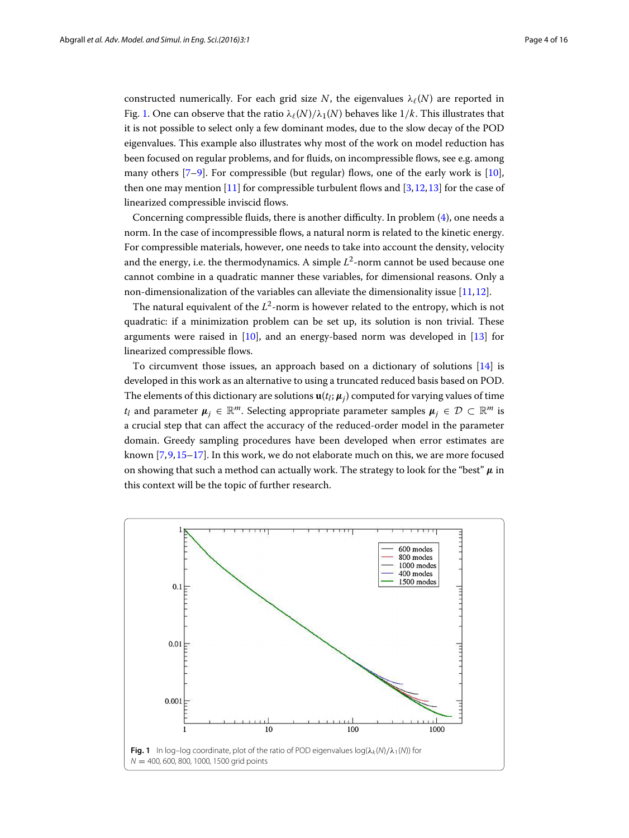constructed numerically. For each grid size *N*, the eigenvalues  $\lambda_{\ell}(N)$  are reported in Fig. [1.](#page-3-0) One can observe that the ratio  $\lambda(\frac{N}{\lambda_1(N)})$  behaves like  $1/k$ . This illustrates that it is not possible to select only a few dominant modes, due to the slow decay of the POD eigenvalues. This example also illustrates why most of the work on model reduction has been focused on regular problems, and for fluids, on incompressible flows, see e.g. among many others  $[7-9]$  $[7-9]$ . For compressible (but regular) flows, one of the early work is  $[10]$  $[10]$ , then one may mention  $[11]$  for compressible turbulent flows and  $[3,12,13]$  $[3,12,13]$  $[3,12,13]$  for the case of linearized compressible inviscid flows.

Concerning compressible fluids, there is another difficulty. In problem [\(4\)](#page-2-0), one needs a norm. In the case of incompressible flows, a natural norm is related to the kinetic energy. For compressible materials, however, one needs to take into account the density, velocity and the energy, i.e. the thermodynamics. A simple  $L^2$ -norm cannot be used because one cannot combine in a quadratic manner these variables, for dimensional reasons. Only a non-dimensionalization of the variables can alleviate the dimensionality issue [\[11](#page-15-7),[12](#page-15-9)].

The natural equivalent of the *L*2-norm is however related to the entropy, which is not quadratic: if a minimization problem can be set up, its solution is non trivial. These arguments were raised in  $[10]$  $[10]$ , and an energy-based norm was developed in  $[13]$  for linearized compressible flows.

To circumvent those issues, an approach based on a dictionary of solutions [\[14](#page-15-11)] is developed in this work as an alternative to using a truncated reduced basis based on POD. The elements of this dictionary are solutions  $\mathbf{u}(t_l;\mu_i)$  computed for varying values of time *t<sub>l</sub>* and parameter  $\mu_i \in \mathbb{R}^m$ . Selecting appropriate parameter samples  $\mu_i \in \mathcal{D} \subset \mathbb{R}^m$  is a crucial step that can affect the accuracy of the reduced-order model in the parameter domain. Greedy sampling procedures have been developed when error estimates are known [\[7](#page-15-4)[,9](#page-15-5)[,15](#page-15-12)[–17\]](#page-15-13). In this work, we do not elaborate much on this, we are more focused on showing that such a method can actually work. The strategy to look for the "best" *μ* in this context will be the topic of further research.

<span id="page-3-0"></span>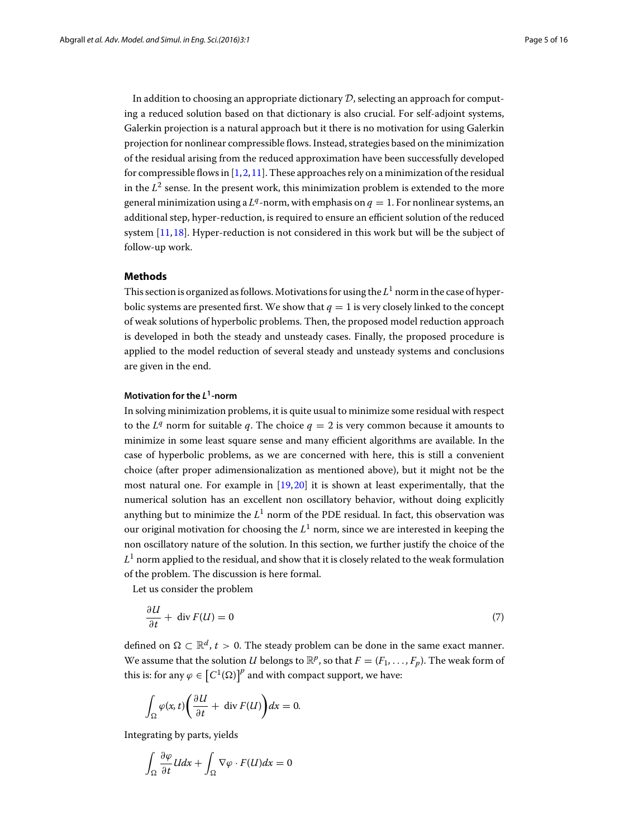In addition to choosing an appropriate dictionary *D*, selecting an approach for computing a reduced solution based on that dictionary is also crucial. For self-adjoint systems, Galerkin projection is a natural approach but it there is no motivation for using Galerkin projection for nonlinear compressible flows. Instead, strategies based on the minimization of the residual arising from the reduced approximation have been successfully developed for compressible flows in  $[1,2,11]$  $[1,2,11]$  $[1,2,11]$  $[1,2,11]$ . These approaches rely on a minimization of the residual in the  $L^2$  sense. In the present work, this minimization problem is extended to the more general minimization using a  $L^q$ -norm, with emphasis on  $q = 1$ . For nonlinear systems, an additional step, hyper-reduction, is required to ensure an efficient solution of the reduced system [\[11](#page-15-7)[,18](#page-15-15)]. Hyper-reduction is not considered in this work but will be the subject of follow-up work.

## **Methods**

This section is organized as follows. Motivations for using the  $L^1$  norm in the case of hyperbolic systems are presented first. We show that  $q = 1$  is very closely linked to the concept of weak solutions of hyperbolic problems. Then, the proposed model reduction approach is developed in both the steady and unsteady cases. Finally, the proposed procedure is applied to the model reduction of several steady and unsteady systems and conclusions are given in the end.

## **Motivation for the** *L***1-norm**

In solving minimization problems, it is quite usual to minimize some residual with respect to the  $L^q$  norm for suitable q. The choice  $q = 2$  is very common because it amounts to minimize in some least square sense and many efficient algorithms are available. In the case of hyperbolic problems, as we are concerned with here, this is still a convenient choice (after proper adimensionalization as mentioned above), but it might not be the most natural one. For example in [\[19](#page-15-16)[,20](#page-15-17)] it is shown at least experimentally, that the numerical solution has an excellent non oscillatory behavior, without doing explicitly anything but to minimize the  $L^1$  norm of the PDE residual. In fact, this observation was our original motivation for choosing the  $L<sup>1</sup>$  norm, since we are interested in keeping the non oscillatory nature of the solution. In this section, we further justify the choice of the  $L<sup>1</sup>$  norm applied to the residual, and show that it is closely related to the weak formulation of the problem. The discussion is here formal.

Let us consider the problem

$$
\frac{\partial U}{\partial t} + \operatorname{div} F(U) = 0 \tag{7}
$$

<span id="page-4-0"></span>defined on  $\Omega \subset \mathbb{R}^d$ ,  $t > 0$ . The steady problem can be done in the same exact manner. We assume that the solution *U* belongs to  $\mathbb{R}^p$ , so that  $F = (F_1, \ldots, F_p)$ . The weak form of this is: for any  $\varphi \in \left[C^1(\Omega)\right]^p$  and with compact support, we have:

$$
\int_{\Omega} \varphi(x, t) \bigg( \frac{\partial U}{\partial t} + \operatorname{div} F(U) \bigg) dx = 0.
$$

Integrating by parts, yields

$$
\int_{\Omega} \frac{\partial \varphi}{\partial t} U dx + \int_{\Omega} \nabla \varphi \cdot F(U) dx = 0
$$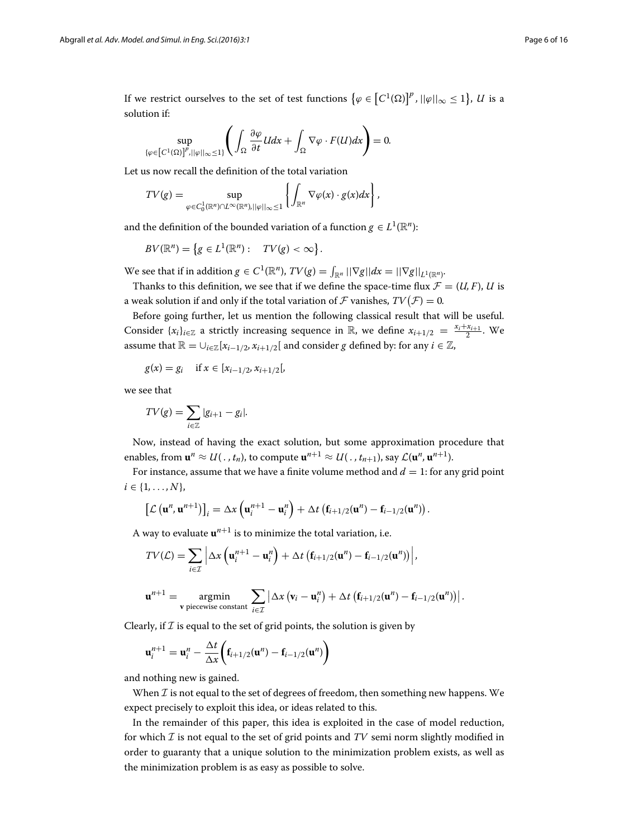If we restrict ourselves to the set of test functions  $\{\varphi \in \left[C^1(\Omega)\right]^p$ ,  $||\varphi||_{\infty} \le 1\}$ ,  $U$  is a solution if:

$$
\sup_{\{\varphi \in \left[C^1(\Omega)\right]^p, ||\varphi||_{\infty}\leq 1\}} \left( \int_{\Omega} \frac{\partial \varphi}{\partial t} U dx + \int_{\Omega} \nabla \varphi \cdot F(U) dx \right) = 0.
$$

Let us now recall the definition of the total variation

$$
TV(g) = \sup_{\varphi \in C_0^1(\mathbb{R}^n) \cap L^{\infty}(\mathbb{R}^n), ||\varphi||_{\infty} \leq 1} \left\{ \int_{\mathbb{R}^n} \nabla \varphi(x) \cdot g(x) dx \right\},\,
$$

and the definition of the bounded variation of a function *g*  $\in L^1(\mathbb{R}^n)$ :

$$
BV(\mathbb{R}^n) = \left\{ g \in L^1(\mathbb{R}^n) : TV(g) < \infty \right\}.
$$

We see that if in addition  $g \in C^1(\mathbb{R}^n)$ ,  $TV(g) = \int_{\mathbb{R}^n} ||\nabla g|| dx = ||\nabla g||_{L^1(\mathbb{R}^n)}$ .

Thanks to this definition, we see that if we define the space-time flux  $\mathcal{F} = (U, F)$ , *U* is a weak solution if and only if the total variation of  $\mathcal F$  vanishes,  $TV(\mathcal F)=0$ .

Before going further, let us mention the following classical result that will be useful. Consider  $\{x_i\}_{i\in\mathbb{Z}}$  a strictly increasing sequence in  $\mathbb{R}$ , we define  $x_{i+1/2} = \frac{x_i + x_{i+1}}{2}$ . We assume that  $\mathbb{R} = \bigcup_{i \in \mathbb{Z}} [x_{i-1/2}, x_{i+1/2}]$  and consider *g* defined by: for any  $i \in \mathbb{Z}$ ,

$$
g(x) = g_i
$$
 if  $x \in [x_{i-1/2}, x_{i+1/2}],$ 

we see that

$$
TV(g) = \sum_{i \in \mathbb{Z}} |g_{i+1} - g_i|.
$$

Now, instead of having the exact solution, but some approximation procedure that enables, from  $\mathbf{u}^n \approx U(\cdot, t_n)$ , to compute  $\mathbf{u}^{n+1} \approx U(\cdot, t_{n+1})$ , say  $\mathcal{L}(\mathbf{u}^n, \mathbf{u}^{n+1})$ .

For instance, assume that we have a finite volume method and  $d = 1$ : for any grid point  $i \in \{1, ..., N\},\$ 

$$
\left[\mathcal{L}\left(\mathbf{u}^{n},\mathbf{u}^{n+1}\right)\right]_i=\Delta x\left(\mathbf{u}_i^{n+1}-\mathbf{u}_i^{n}\right)+\Delta t\left(\mathbf{f}_{i+1/2}(\mathbf{u}^{n})-\mathbf{f}_{i-1/2}(\mathbf{u}^{n})\right).
$$

A way to evaluate  $\mathbf{u}^{n+1}$  is to minimize the total variation, i.e.

$$
TV(\mathcal{L}) = \sum_{i \in \mathcal{I}} \left| \Delta x \left( \mathbf{u}_i^{n+1} - \mathbf{u}_i^n \right) + \Delta t \left( \mathbf{f}_{i+1/2}(\mathbf{u}^n) - \mathbf{f}_{i-1/2}(\mathbf{u}^n) \right) \right|,
$$

$$
\mathbf{u}^{n+1} = \operatorname*{argmin}_{\mathbf{v} \text{ piecewise constant}} \sum_{i \in \mathcal{I}} \left| \Delta x \left( \mathbf{v}_i - \mathbf{u}_i^n \right) + \Delta t \left( \mathbf{f}_{i+1/2}(\mathbf{u}^n) - \mathbf{f}_{i-1/2}(\mathbf{u}^n) \right) \right|.
$$

Clearly, if  $I$  is equal to the set of grid points, the solution is given by

$$
\mathbf{u}_{i}^{n+1} = \mathbf{u}_{i}^{n} - \frac{\Delta t}{\Delta x} \bigg( \mathbf{f}_{i+1/2}(\mathbf{u}^{n}) - \mathbf{f}_{i-1/2}(\mathbf{u}^{n}) \bigg)
$$

and nothing new is gained.

When  $I$  is not equal to the set of degrees of freedom, then something new happens. We expect precisely to exploit this idea, or ideas related to this.

In the remainder of this paper, this idea is exploited in the case of model reduction, for which *I* is not equal to the set of grid points and *TV* semi norm slightly modified in order to guaranty that a unique solution to the minimization problem exists, as well as the minimization problem is as easy as possible to solve.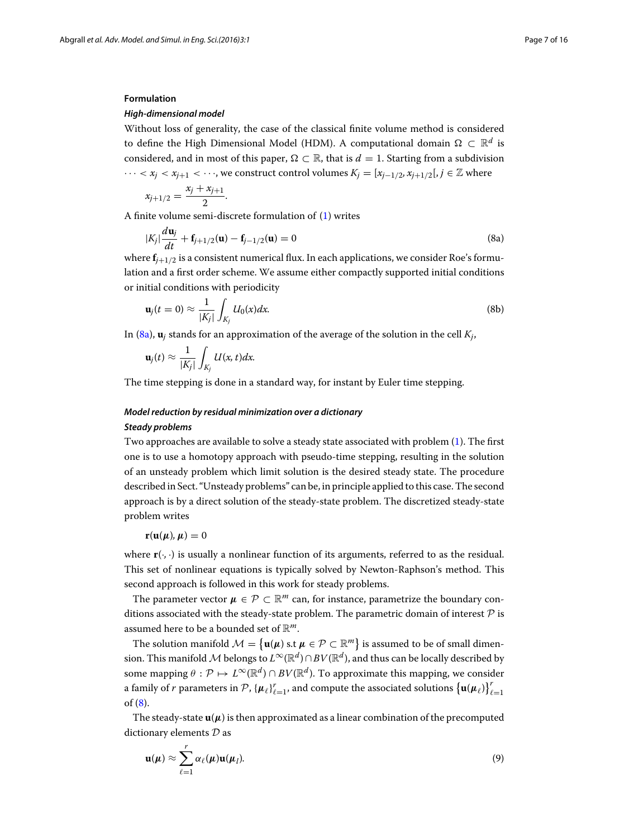#### **Formulation**

#### *High-dimensional model*

Without loss of generality, the case of the classical finite volume method is considered to define the High Dimensional Model (HDM). A computational domain  $\Omega \subset \mathbb{R}^d$  is considered, and in most of this paper,  $\Omega \subset \mathbb{R}$ , that is  $d = 1$ . Starting from a subdivision

 $\cdots < x_i < x_{i+1} < \cdots$ , we construct control volumes  $K_i = [x_{i-1/2}, x_{i+1/2}], i \in \mathbb{Z}$  where

$$
x_{j+1/2} = \frac{x_j + x_{j+1}}{2}.
$$

A finite volume semi-discrete formulation of [\(1\)](#page-1-0) writes

<span id="page-6-0"></span>
$$
|K_j| \frac{d\mathbf{u}_j}{dt} + \mathbf{f}_{j+1/2}(\mathbf{u}) - \mathbf{f}_{j-1/2}(\mathbf{u}) = 0
$$
 (8a)

where  $f_{i+1/2}$  is a consistent numerical flux. In each applications, we consider Roe's formulation and a first order scheme. We assume either compactly supported initial conditions or initial conditions with periodicity

$$
\mathbf{u}_j(t=0) \approx \frac{1}{|K_j|} \int_{K_j} U_0(x) dx.
$$
 (8b)

In [\(8a\)](#page-6-0), **u***<sup>j</sup>* stands for an approximation of the average of the solution in the cell *Kj*,

$$
\mathbf{u}_j(t) \approx \frac{1}{|K_j|} \int_{K_j} U(x, t) dx.
$$

The time stepping is done in a standard way, for instant by Euler time stepping.

# *Model reduction by residual minimization over a dictionary*

# *Steady problems*

Two approaches are available to solve a steady state associated with problem [\(1\)](#page-1-0). The first one is to use a homotopy approach with pseudo-time stepping, resulting in the solution of an unsteady problem which limit solution is the desired steady state. The procedure described in Sect. "Unsteady problems" can be, in principle applied to this case. The second approach is by a direct solution of the steady-state problem. The discretized steady-state problem writes

# $\mathbf{r}(\mathbf{u}(\boldsymbol{\mu}), \boldsymbol{\mu}) = 0$

where  $\mathbf{r}(\cdot, \cdot)$  is usually a nonlinear function of its arguments, referred to as the residual. This set of nonlinear equations is typically solved by Newton-Raphson's method. This second approach is followed in this work for steady problems.

The parameter vector  $\mu \in \mathcal{P} \subset \mathbb{R}^m$  can, for instance, parametrize the boundary conditions associated with the steady-state problem. The parametric domain of interest *P* is assumed here to be a bounded set of R*m*.

The solution manifold  $\mathcal{M} = \{ \mathbf{u}(\mu) \text{ s.t } \mu \in \mathcal{P} \subset \mathbb{R}^m \}$  is assumed to be of small dimension. This manifold*M*belongs to *<sup>L</sup>*∞(R*d*)∩*BV*(R*d*), and thus can be locally described by some mapping  $\theta$  :  $\mathcal{P} \mapsto L^{\infty}(\mathbb{R}^d) \cap BV(\mathbb{R}^d)$ . To approximate this mapping, we consider a family of *r* parameters in  $\mathcal{P}$ ,  $\{\boldsymbol{\mu}_{\ell}\}_{\ell=1}^r$ , and compute the associated solutions  $\{\mathbf{u}(\boldsymbol{\mu}_{\ell})\}_{\ell=1}^r$ of [\(8\)](#page-6-0).

The steady-state  $\mathbf{u}(\mu)$  is then approximated as a linear combination of the precomputed dictionary elements *D* as

$$
\mathbf{u}(\boldsymbol{\mu}) \approx \sum_{\ell=1}^r \alpha_{\ell}(\boldsymbol{\mu}) \mathbf{u}(\boldsymbol{\mu}_l).
$$
 (9)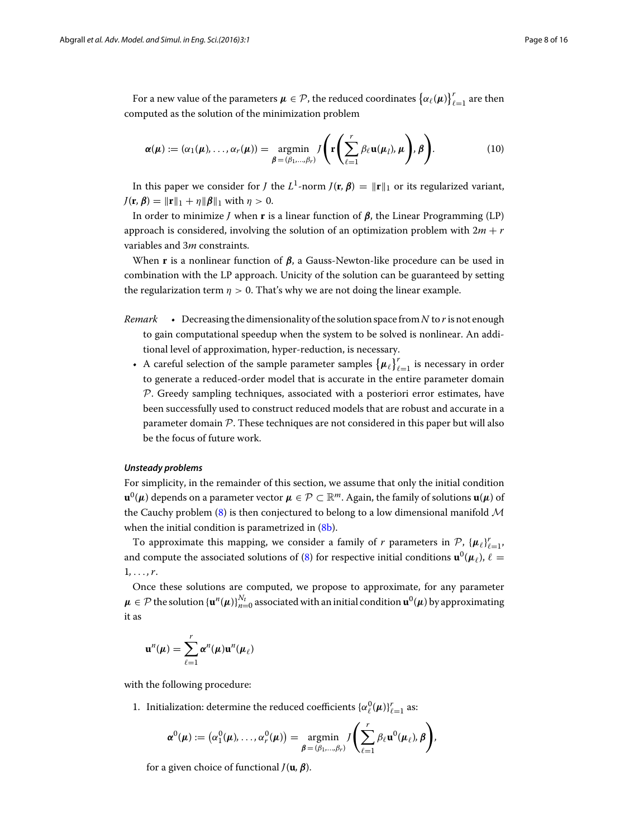For a new value of the parameters  $\mu \in \mathcal{P}$ , the reduced coordinates  $\{\alpha_{\ell}(\mu)\}_{\ell=1}^r$  are then computed as the solution of the minimization problem

$$
\boldsymbol{\alpha}(\boldsymbol{\mu}) := (\alpha_1(\boldsymbol{\mu}), \dots, \alpha_r(\boldsymbol{\mu})) = \operatorname*{argmin}_{\boldsymbol{\beta} = (\beta_1, \dots, \beta_r)} J\left(\mathbf{r}\left(\sum_{\ell=1}^r \beta_\ell \mathbf{u}(\boldsymbol{\mu}_l), \boldsymbol{\mu}\right), \boldsymbol{\beta}\right).
$$
(10)

In this paper we consider for *J* the *L*<sup>1</sup>-norm  $J(\mathbf{r}, \boldsymbol{\beta}) = ||\mathbf{r}||_1$  or its regularized variant, *J*(**r**,  $\beta$ ) =  $\|\mathbf{r}\|_1 + \eta \|\beta\|_1$  with  $\eta > 0$ .

In order to minimize *J* when **r** is a linear function of *β*, the Linear Programming (LP) approach is considered, involving the solution of an optimization problem with 2*m* + *r* variables and 3*m* constraints.

When **r** is a nonlinear function of *β*, a Gauss-Newton-like procedure can be used in combination with the LP approach. Unicity of the solution can be guaranteed by setting the regularization term  $\eta > 0$ . That's why we are not doing the linear example.

- *Remark* Decreasing the dimensionality of the solution space from *N* to *r* is not enough to gain computational speedup when the system to be solved is nonlinear. An additional level of approximation, hyper-reduction, is necessary.
	- A careful selection of the sample parameter samples  $\{\mu_\ell\}_{\ell=1}^r$  is necessary in order to generate a reduced-order model that is accurate in the entire parameter domain *P*. Greedy sampling techniques, associated with a posteriori error estimates, have been successfully used to construct reduced models that are robust and accurate in a parameter domain *P*. These techniques are not considered in this paper but will also be the focus of future work.

## *Unsteady problems*

For simplicity, in the remainder of this section, we assume that only the initial condition  $\mathbf{u}^0(\mu)$  depends on a parameter vector  $\mu \in \mathcal{P} \subset \mathbb{R}^m$ . Again, the family of solutions  $\mathbf{u}(\mu)$  of the Cauchy problem [\(8\)](#page-6-0) is then conjectured to belong to a low dimensional manifold *M* when the initial condition is parametrized in  $(8b)$ .

To approximate this mapping, we consider a family of *r* parameters in  $\mathcal{P}, {\{\mu_{\ell}\}}_{\ell=1}^{r}$ and compute the associated solutions of [\(8\)](#page-6-0) for respective initial conditions  $\mathbf{u}^0(\mu_\ell)$ ,  $\ell =$ 1*,* ... *, r*.

Once these solutions are computed, we propose to approximate, for any parameter  $\mu \in \mathcal{P}$  the solution  $\{\mathbf{u}^n(\mu)\}_{n=0}^{N_t}$  associated with an initial condition  $\mathbf{u}^0(\mu)$  by approximating it as

$$
\mathbf{u}^{n}(\boldsymbol{\mu}) = \sum_{\ell=1}^{r} \boldsymbol{\alpha}^{n}(\boldsymbol{\mu}) \mathbf{u}^{n}(\boldsymbol{\mu}_{\ell})
$$

with the following procedure:

1. Initialization: determine the reduced coefficients  $\{\alpha_{\ell}^0(\mu)\}_{\ell=1}^r$  as:

$$
\boldsymbol{\alpha}^0(\boldsymbol{\mu}) := (\alpha_1^0(\boldsymbol{\mu}), \dots, \alpha_r^0(\boldsymbol{\mu})) = \operatorname*{argmin}_{\boldsymbol{\beta} = (\beta_1, \dots, \beta_r)} J\left(\sum_{\ell=1}^r \beta_\ell \mathbf{u}^0(\boldsymbol{\mu}_{\ell}), \boldsymbol{\beta}\right),
$$

for a given choice of functional *J*(**u***, β*).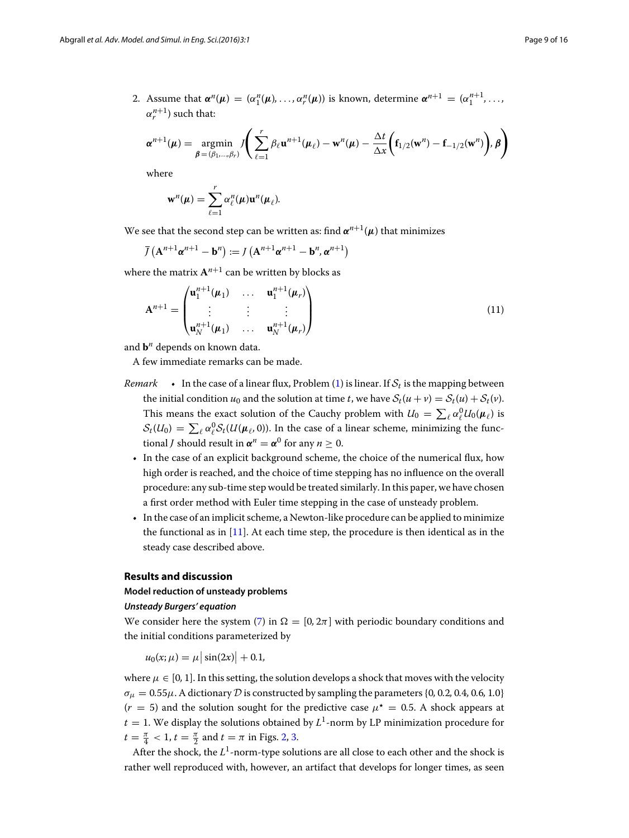2. Assume that  $\alpha^n(\mu) = (\alpha_1^n(\mu), \ldots, \alpha_r^n(\mu))$  is known, determine  $\alpha^{n+1} = (\alpha_1^{n+1}, \ldots, \alpha_r^{n+1})$  $\alpha_n^{n+1}$  such that:

$$
\boldsymbol{\alpha}^{n+1}(\boldsymbol{\mu}) = \underset{\boldsymbol{\beta} = (\beta_1, \ldots, \beta_r)}{\operatorname{argmin}} J\left(\sum_{\ell=1}^r \beta_\ell \mathbf{u}^{n+1}(\boldsymbol{\mu}_\ell) - \mathbf{w}^n(\boldsymbol{\mu}) - \frac{\Delta t}{\Delta x} \left(\mathbf{f}_{1/2}(\mathbf{w}^n) - \mathbf{f}_{-1/2}(\mathbf{w}^n)\right), \boldsymbol{\beta}\right)
$$

where

$$
\mathbf{w}^{n}(\boldsymbol{\mu}) = \sum_{\ell=1}^{r} \alpha_{\ell}^{n}(\boldsymbol{\mu}) \mathbf{u}^{n}(\boldsymbol{\mu}_{\ell}).
$$

We see that the second step can be written as: find  $\alpha^{n+1}(\mu)$  that minimizes

$$
\overline{J}\left(\mathbf{A}^{n+1}\boldsymbol{\alpha}^{n+1}-\mathbf{b}^{n}\right):=J\left(\mathbf{A}^{n+1}\boldsymbol{\alpha}^{n+1}-\mathbf{b}^{n},\boldsymbol{\alpha}^{n+1}\right)
$$

where the matrix  $A^{n+1}$  can be written by blocks as

$$
\mathbf{A}^{n+1} = \begin{pmatrix} \mathbf{u}_1^{n+1}(\boldsymbol{\mu}_1) & \dots & \mathbf{u}_1^{n+1}(\boldsymbol{\mu}_r) \\ \vdots & \vdots & \vdots \\ \mathbf{u}_N^{n+1}(\boldsymbol{\mu}_1) & \dots & \mathbf{u}_N^{n+1}(\boldsymbol{\mu}_r) \end{pmatrix}
$$
(11)

and **b***<sup>n</sup>* depends on known data.

A few immediate remarks can be made.

- *Remark* In the case of a linear flux, Problem [\(1\)](#page-1-0) is linear. If  $S_t$  is the mapping between the initial condition  $u_0$  and the solution at time *t*, we have  $S_t(u + v) = S_t(u) + S_t(v)$ . This means the exact solution of the Cauchy problem with  $U_0 = \sum_{\ell} \alpha_{\ell}^0 U_0(\mu_{\ell})$  is  $S_t(U_0) = \sum_{\ell} \alpha_{\ell}^0 S_t(U(\mu_{\ell}, 0))$ . In the case of a linear scheme, minimizing the functional *J* should result in  $\alpha^n = \alpha^0$  for any  $n \geq 0$ .
	- In the case of an explicit background scheme, the choice of the numerical flux, how high order is reached, and the choice of time stepping has no influence on the overall procedure: any sub-time step would be treated similarly. In this paper, we have chosen a first order method with Euler time stepping in the case of unsteady problem.
	- In the case of an implicit scheme, a Newton-like procedure can be applied to minimize the functional as in [\[11](#page-15-7)]. At each time step, the procedure is then identical as in the steady case described above.

## **Results and discussion**

#### **Model reduction of unsteady problems**

### *Unsteady Burgers' equation*

We consider here the system [\(7\)](#page-4-0) in  $\Omega = [0, 2\pi]$  with periodic boundary conditions and the initial conditions parameterized by

$$
u_0(x; \mu) = \mu |\sin(2x)| + 0.1,
$$

where  $\mu \in [0, 1]$ . In this setting, the solution develops a shock that moves with the velocity  $\sigma_{\mu} = 0.55\mu$ . A dictionary *D* is constructed by sampling the parameters {0, 0.2, 0.4, 0.6, 1.0}  $(r = 5)$  and the solution sought for the predictive case  $\mu^* = 0.5$ . A shock appears at  $t = 1$ . We display the solutions obtained by  $L^1$ -norm by LP minimization procedure for  $t = \frac{\pi}{4} < 1, t = \frac{\pi}{2}$  and  $t = \pi$  in Figs. [2,](#page-9-0) [3.](#page-9-1)

After the shock, the  $L^1$ -norm-type solutions are all close to each other and the shock is rather well reproduced with, however, an artifact that develops for longer times, as seen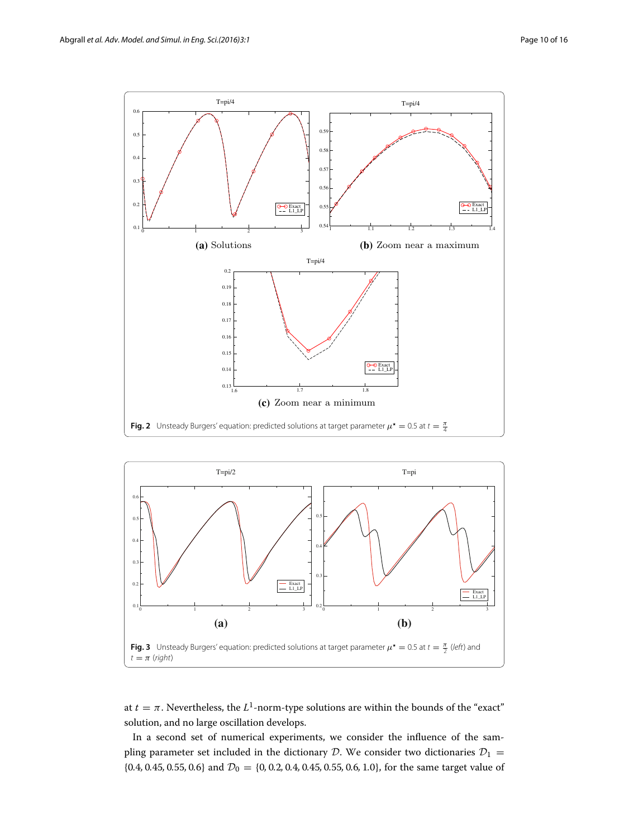

<span id="page-9-0"></span>

<span id="page-9-1"></span>at  $t = \pi$ . Nevertheless, the  $L^1$ -norm-type solutions are within the bounds of the "exact" solution, and no large oscillation develops.

In a second set of numerical experiments, we consider the influence of the sampling parameter set included in the dictionary *D*. We consider two dictionaries  $D_1 =$ {0.4, 0.45, 0.55, 0.6} and  $\mathcal{D}_0 = \{0, 0.2, 0.4, 0.45, 0.55, 0.6, 1.0\}$ , for the same target value of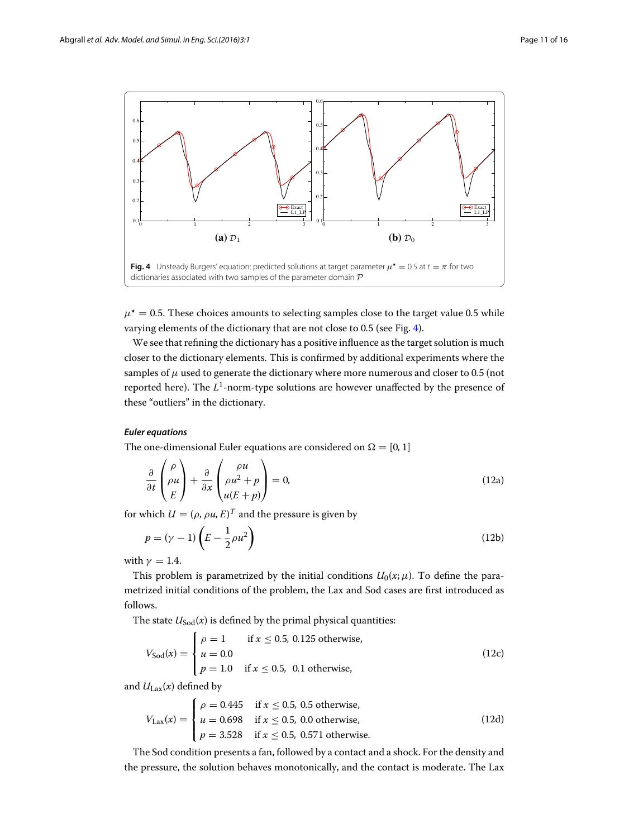

<span id="page-10-0"></span> $\mu^* = 0.5$ . These choices amounts to selecting samples close to the target value 0.5 while varying elements of the dictionary that are not close to 0*.*5 (see Fig. [4\)](#page-10-0).

We see that refining the dictionary has a positive influence as the target solution is much closer to the dictionary elements. This is confirmed by additional experiments where the samples of  $\mu$  used to generate the dictionary where more numerous and closer to 0.5 (not reported here). The *L*1-norm-type solutions are however unaffected by the presence of these "outliers" in the dictionary.

## *Euler equations*

The one-dimensional Euler equations are considered on  $\Omega = [0, 1]$ 

$$
\frac{\partial}{\partial t} \begin{pmatrix} \rho \\ \rho u \\ E \end{pmatrix} + \frac{\partial}{\partial x} \begin{pmatrix} \rho u \\ \rho u^2 + p \\ u(E + p) \end{pmatrix} = 0, \tag{12a}
$$

for which  $U = (\rho, \rho u, E)^T$  and the pressure is given by

$$
p = (\gamma - 1)\left(E - \frac{1}{2}\rho u^2\right) \tag{12b}
$$

with  $\gamma = 1.4$ .

This problem is parametrized by the initial conditions  $U_0(x;\mu)$ . To define the parametrized initial conditions of the problem, the Lax and Sod cases are first introduced as follows.

The state  $U_{\text{Sod}}(x)$  is defined by the primal physical quantities:

$$
V_{\text{Sod}}(x) = \begin{cases} \rho = 1 & \text{if } x \le 0.5, \ 0.125 \text{ otherwise,} \\ u = 0.0 \\ p = 1.0 & \text{if } x \le 0.5, \ 0.1 \text{ otherwise,} \end{cases}
$$
(12c)

and  $U_{\text{Lax}}(x)$  defined by

$$
V_{\text{Lax}}(x) = \begin{cases} \rho = 0.445 & \text{if } x \le 0.5, \text{ } 0.5 \text{ otherwise,} \\ u = 0.698 & \text{if } x \le 0.5, \text{ } 0.0 \text{ otherwise,} \\ p = 3.528 & \text{if } x \le 0.5, \text{ } 0.571 \text{ otherwise.} \end{cases} \tag{12d}
$$

The Sod condition presents a fan, followed by a contact and a shock. For the density and the pressure, the solution behaves monotonically, and the contact is moderate. The Lax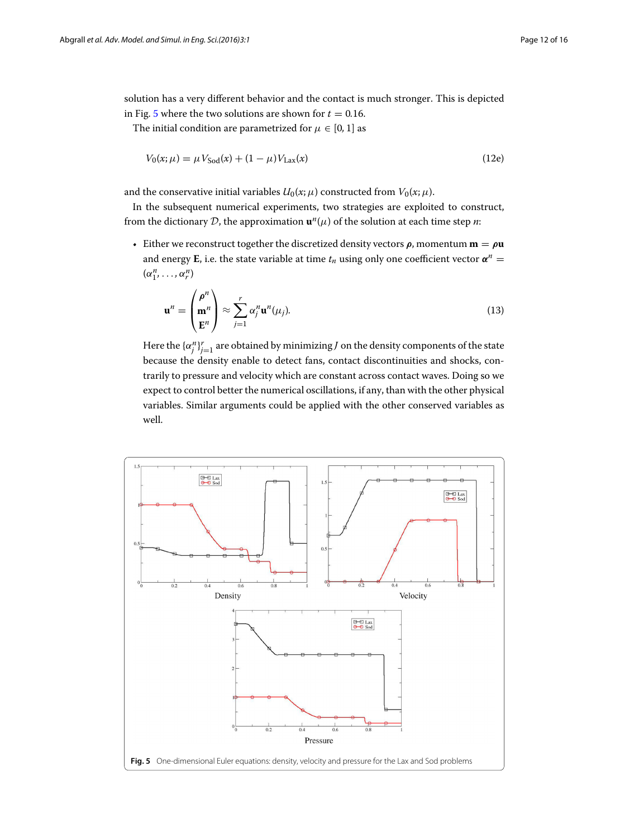solution has a very different behavior and the contact is much stronger. This is depicted in Fig. [5](#page-11-0) where the two solutions are shown for  $t = 0.16$ .

The initial condition are parametrized for  $\mu \in [0, 1]$  as

$$
V_0(x; \mu) = \mu V_{\text{Sod}}(x) + (1 - \mu) V_{\text{Lax}}(x)
$$
\n(12e)

and the conservative initial variables  $U_0(x; \mu)$  constructed from  $V_0(x; \mu)$ .

In the subsequent numerical experiments, two strategies are exploited to construct, from the dictionary *D*, the approximation  $\mathbf{u}^{n}(\mu)$  of the solution at each time step *n*:

• Either we reconstruct together the discretized density vectors  $\rho$ , momentum  $\mathbf{m} = \rho \mathbf{u}$ and energy **E**, i.e. the state variable at time  $t_n$  using only one coefficient vector  $\alpha^n$  =  $(\alpha_1^n, \ldots, \alpha_r^n)$ 

$$
\mathbf{u}^{n} = \begin{pmatrix} \rho^{n} \\ \mathbf{m}^{n} \\ \mathbf{E}^{n} \end{pmatrix} \approx \sum_{j=1}^{r} \alpha_{j}^{n} \mathbf{u}^{n} (\mu_{j}).
$$
 (13)

<span id="page-11-1"></span>Here the  $\{\alpha_j^n\}_{j=1}^r$  are obtained by minimizing *J* on the density components of the state because the density enable to detect fans, contact discontinuities and shocks, contrarily to pressure and velocity which are constant across contact waves. Doing so we expect to control better the numerical oscillations, if any, than with the other physical variables. Similar arguments could be applied with the other conserved variables as well.

<span id="page-11-0"></span>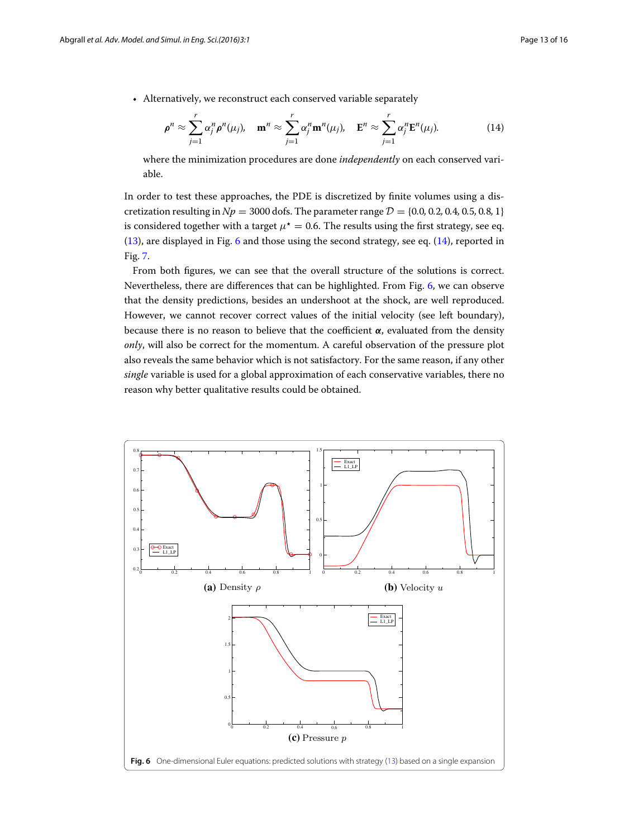<span id="page-12-1"></span>• Alternatively, we reconstruct each conserved variable separately

$$
\rho^n \approx \sum_{j=1}^r \alpha_j^n \rho^n(\mu_j), \quad \mathbf{m}^n \approx \sum_{j=1}^r \alpha_j^n \mathbf{m}^n(\mu_j), \quad \mathbf{E}^n \approx \sum_{j=1}^r \alpha_j^n \mathbf{E}^n(\mu_j).
$$
 (14)

where the minimization procedures are done *independently* on each conserved variable.

In order to test these approaches, the PDE is discretized by finite volumes using a discretization resulting in  $Np = 3000$  dofs. The parameter range  $\mathcal{D} = \{0.0, 0.2, 0.4, 0.5, 0.8, 1\}$ is considered together with a target  $\mu^* = 0.6$ . The results using the first strategy, see eq. [\(13\)](#page-11-1), are displayed in Fig. [6](#page-12-0) and those using the second strategy, see eq. [\(14\)](#page-12-1), reported in Fig. [7.](#page-13-0)

From both figures, we can see that the overall structure of the solutions is correct. Nevertheless, there are differences that can be highlighted. From Fig. [6,](#page-12-0) we can observe that the density predictions, besides an undershoot at the shock, are well reproduced. However, we cannot recover correct values of the initial velocity (see left boundary), because there is no reason to believe that the coefficient *α*, evaluated from the density *only*, will also be correct for the momentum. A careful observation of the pressure plot also reveals the same behavior which is not satisfactory. For the same reason, if any other *single* variable is used for a global approximation of each conservative variables, there no reason why better qualitative results could be obtained.

<span id="page-12-0"></span>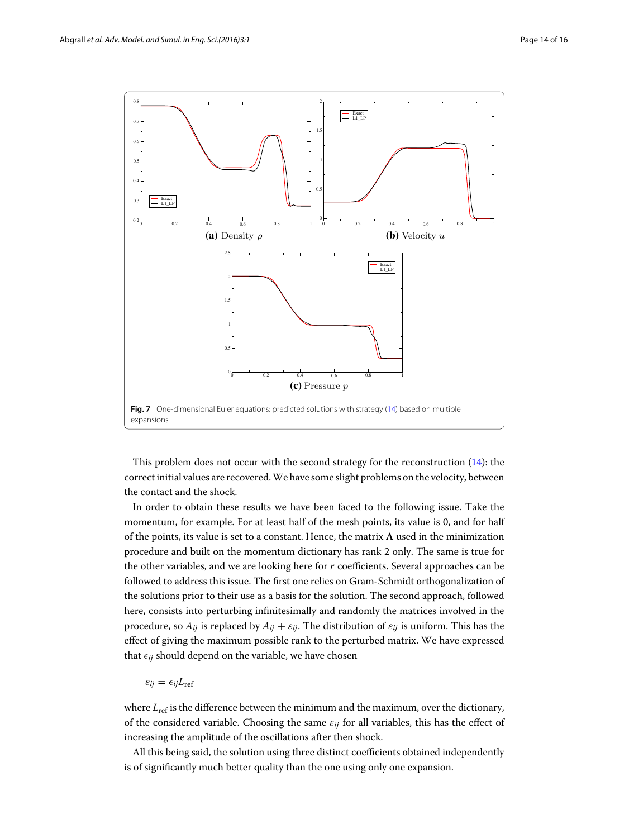

<span id="page-13-0"></span>This problem does not occur with the second strategy for the reconstruction [\(14\)](#page-12-1): the correct initial values are recovered.We have some slight problems on the velocity, between the contact and the shock.

In order to obtain these results we have been faced to the following issue. Take the momentum, for example. For at least half of the mesh points, its value is 0, and for half of the points, its value is set to a constant. Hence, the matrix **A** used in the minimization procedure and built on the momentum dictionary has rank 2 only. The same is true for the other variables, and we are looking here for *r* coefficients. Several approaches can be followed to address this issue. The first one relies on Gram-Schmidt orthogonalization of the solutions prior to their use as a basis for the solution. The second approach, followed here, consists into perturbing infinitesimally and randomly the matrices involved in the procedure, so  $A_{ij}$  is replaced by  $A_{ij} + \varepsilon_{ij}$ . The distribution of  $\varepsilon_{ij}$  is uniform. This has the effect of giving the maximum possible rank to the perturbed matrix. We have expressed that  $\epsilon_{ij}$  should depend on the variable, we have chosen

 $\varepsilon_{ij} = \epsilon_{ij}L_{\rm ref}$ 

where  $L_{\text{ref}}$  is the difference between the minimum and the maximum, over the dictionary, of the considered variable. Choosing the same  $\varepsilon_{ij}$  for all variables, this has the effect of increasing the amplitude of the oscillations after then shock.

All this being said, the solution using three distinct coefficients obtained independently is of significantly much better quality than the one using only one expansion.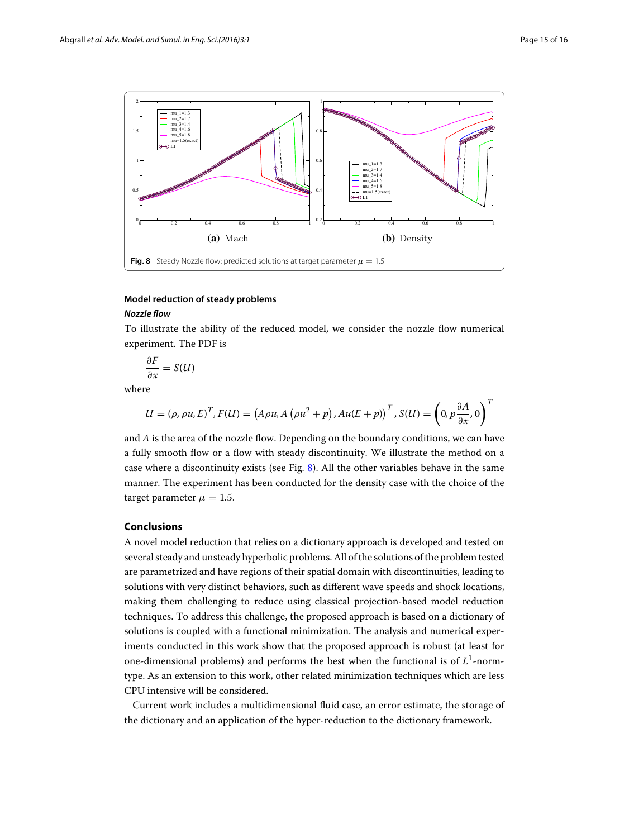

# <span id="page-14-0"></span>**Model reduction of steady problems**

#### *Nozzle flow*

To illustrate the ability of the reduced model, we consider the nozzle flow numerical experiment. The PDF is

$$
\frac{\partial F}{\partial x} = S(U)
$$

where

$$
U = (\rho, \rho u, E)^T, F(U) = (A \rho u, A (\rho u^2 + p), Au(E + p))^{T}, S(U) = \left(0, p \frac{\partial A}{\partial x}, 0\right)^T
$$

and *A* is the area of the nozzle flow. Depending on the boundary conditions, we can have a fully smooth flow or a flow with steady discontinuity. We illustrate the method on a case where a discontinuity exists (see Fig. [8\)](#page-14-0). All the other variables behave in the same manner. The experiment has been conducted for the density case with the choice of the target parameter  $\mu = 1.5$ .

# **Conclusions**

A novel model reduction that relies on a dictionary approach is developed and tested on several steady and unsteady hyperbolic problems. All of the solutions of the problem tested are parametrized and have regions of their spatial domain with discontinuities, leading to solutions with very distinct behaviors, such as different wave speeds and shock locations, making them challenging to reduce using classical projection-based model reduction techniques. To address this challenge, the proposed approach is based on a dictionary of solutions is coupled with a functional minimization. The analysis and numerical experiments conducted in this work show that the proposed approach is robust (at least for one-dimensional problems) and performs the best when the functional is of *L*1-normtype. As an extension to this work, other related minimization techniques which are less CPU intensive will be considered.

Current work includes a multidimensional fluid case, an error estimate, the storage of the dictionary and an application of the hyper-reduction to the dictionary framework.